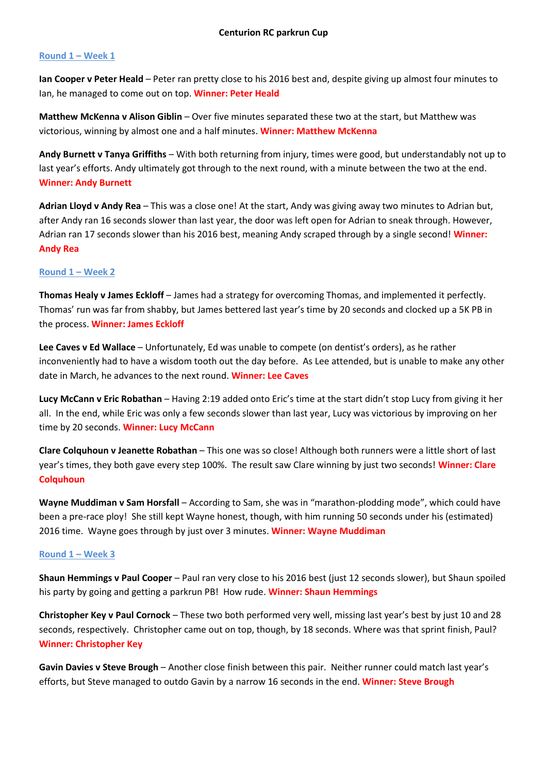# **Round 1 – Week 1**

**Ian Cooper v Peter Heald** – Peter ran pretty close to his 2016 best and, despite giving up almost four minutes to Ian, he managed to come out on top. **Winner: Peter Heald**

**Matthew McKenna v Alison Giblin** – Over five minutes separated these two at the start, but Matthew was victorious, winning by almost one and a half minutes. **Winner: Matthew McKenna**

**Andy Burnett v Tanya Griffiths** – With both returning from injury, times were good, but understandably not up to last year's efforts. Andy ultimately got through to the next round, with a minute between the two at the end. **Winner: Andy Burnett**

**Adrian Lloyd v Andy Rea** – This was a close one! At the start, Andy was giving away two minutes to Adrian but, after Andy ran 16 seconds slower than last year, the door was left open for Adrian to sneak through. However, Adrian ran 17 seconds slower than his 2016 best, meaning Andy scraped through by a single second! **Winner: Andy Rea**

# **Round 1 – Week 2**

**Thomas Healy v James Eckloff** – James had a strategy for overcoming Thomas, and implemented it perfectly. Thomas' run was far from shabby, but James bettered last year's time by 20 seconds and clocked up a 5K PB in the process. **Winner: James Eckloff**

**Lee Caves v Ed Wallace** – Unfortunately, Ed was unable to compete (on dentist's orders), as he rather inconveniently had to have a wisdom tooth out the day before. As Lee attended, but is unable to make any other date in March, he advances to the next round. **Winner: Lee Caves**

**Lucy McCann v Eric Robathan** – Having 2:19 added onto Eric's time at the start didn't stop Lucy from giving it her all. In the end, while Eric was only a few seconds slower than last year, Lucy was victorious by improving on her time by 20 seconds. **Winner: Lucy McCann**

**Clare Colquhoun v Jeanette Robathan** – This one was so close! Although both runners were a little short of last year's times, they both gave every step 100%. The result saw Clare winning by just two seconds! **Winner: Clare Colquhoun**

**Wayne Muddiman v Sam Horsfall** – According to Sam, she was in "marathon-plodding mode", which could have been a pre-race ploy! She still kept Wayne honest, though, with him running 50 seconds under his (estimated) 2016 time. Wayne goes through by just over 3 minutes. **Winner: Wayne Muddiman**

### **Round 1 – Week 3**

**Shaun Hemmings v Paul Cooper** – Paul ran very close to his 2016 best (just 12 seconds slower), but Shaun spoiled his party by going and getting a parkrun PB! How rude. **Winner: Shaun Hemmings**

**Christopher Key v Paul Cornock** – These two both performed very well, missing last year's best by just 10 and 28 seconds, respectively. Christopher came out on top, though, by 18 seconds. Where was that sprint finish, Paul? **Winner: Christopher Key**

**Gavin Davies v Steve Brough** – Another close finish between this pair. Neither runner could match last year's efforts, but Steve managed to outdo Gavin by a narrow 16 seconds in the end. **Winner: Steve Brough**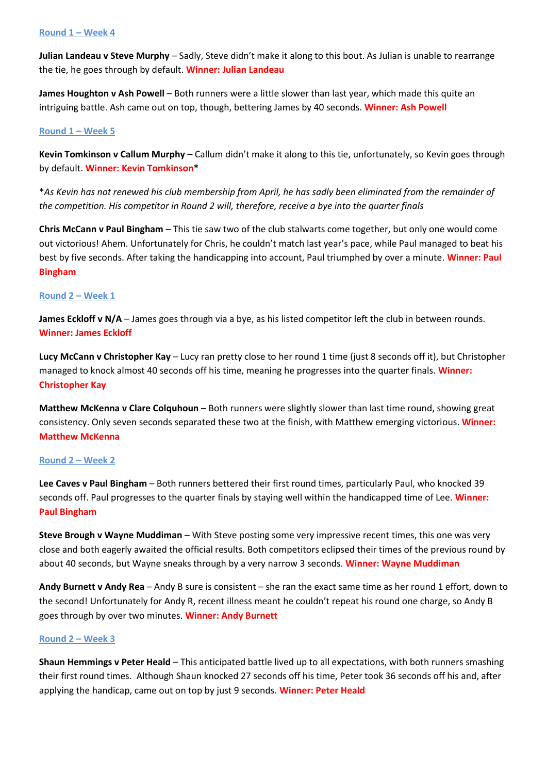#### **Round 1 – Week 4**

**Julian Landeau v Steve Murphy** – Sadly, Steve didn't make it along to this bout. As Julian is unable to rearrange the tie, he goes through by default. **Winner: Julian Landeau**

**James Houghton v Ash Powell** – Both runners were a little slower than last year, which made this quite an intriguing battle. Ash came out on top, though, bettering James by 40 seconds. **Winner: Ash Powell**

#### **Round 1 – Week 5**

**Kevin Tomkinson v Callum Murphy** – Callum didn't make it along to this tie, unfortunately, so Kevin goes through by default. **Winner: Kevin Tomkinson\***

\**As Kevin has not renewed his club membership from April, he has sadly been eliminated from the remainder of the competition. His competitor in Round 2 will, therefore, receive a bye into the quarter finals*

**Chris McCann v Paul Bingham** – This tie saw two of the club stalwarts come together, but only one would come out victorious! Ahem. Unfortunately for Chris, he couldn't match last year's pace, while Paul managed to beat his best by five seconds. After taking the handicapping into account, Paul triumphed by over a minute. **Winner: Paul Bingham**

### **Round 2 – Week 1**

**James Eckloff v N/A** – James goes through via a bye, as his listed competitor left the club in between rounds. **Winner: James Eckloff**

**Lucy McCann v Christopher Kay** – Lucy ran pretty close to her round 1 time (just 8 seconds off it), but Christopher managed to knock almost 40 seconds off his time, meaning he progresses into the quarter finals. **Winner: Christopher Kay**

**Matthew McKenna v Clare Colquhoun** – Both runners were slightly slower than last time round, showing great consistency. Only seven seconds separated these two at the finish, with Matthew emerging victorious. **Winner: Matthew McKenna**

### **Round 2 – Week 2**

**Lee Caves v Paul Bingham** – Both runners bettered their first round times, particularly Paul, who knocked 39 seconds off. Paul progresses to the quarter finals by staying well within the handicapped time of Lee. **Winner: Paul Bingham**

**Steve Brough v Wayne Muddiman** – With Steve posting some very impressive recent times, this one was very close and both eagerly awaited the official results. Both competitors eclipsed their times of the previous round by about 40 seconds, but Wayne sneaks through by a very narrow 3 seconds. **Winner: Wayne Muddiman**

**Andy Burnett v Andy Rea** – Andy B sure is consistent – she ran the exact same time as her round 1 effort, down to the second! Unfortunately for Andy R, recent illness meant he couldn't repeat his round one charge, so Andy B goes through by over two minutes. **Winner: Andy Burnett**

#### **Round 2 – Week 3**

**Shaun Hemmings v Peter Heald** – This anticipated battle lived up to all expectations, with both runners smashing their first round times. Although Shaun knocked 27 seconds off his time, Peter took 36 seconds off his and, after applying the handicap, came out on top by just 9 seconds. **Winner: Peter Heald**